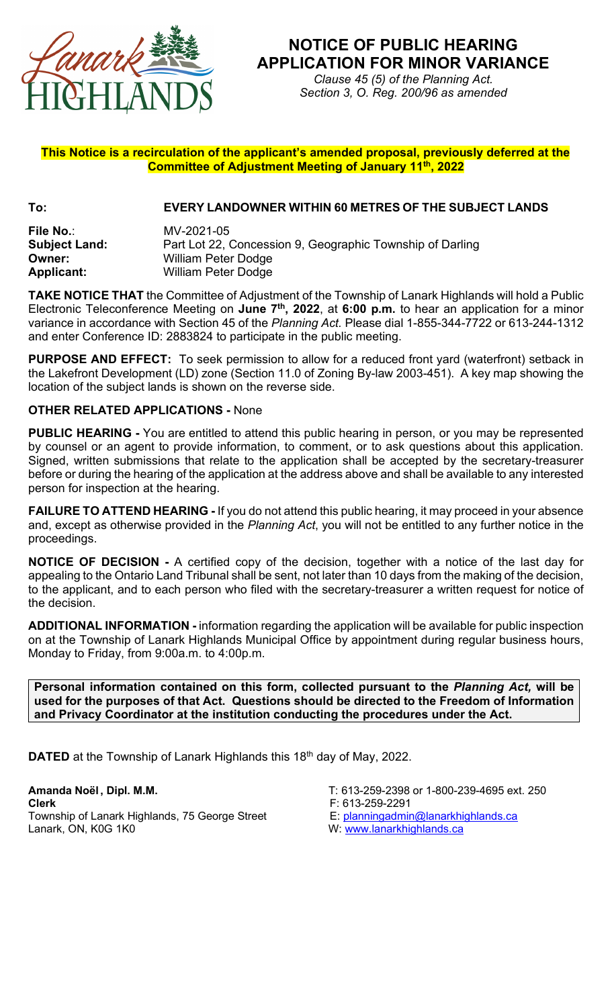

## **NOTICE OF PUBLIC HEARING APPLICATION FOR MINOR VARIANCE**

*Clause 45 (5) of the Planning Act. Section 3, O. Reg. 200/96 as amended*

## **This Notice is a recirculation of the applicant's amended proposal, previously deferred at the Committee of Adjustment Meeting of January 11th, 2022**

## **To: EVERY LANDOWNER WITHIN 60 METRES OF THE SUBJECT LANDS**

**File No.**: MV-2021-05 **Subject Land:** Part Lot 22, Concession 9, Geographic Township of Darling **Owner:** William Peter Dodge **Applicant:** William Peter Dodge

**TAKE NOTICE THAT** the Committee of Adjustment of the Township of Lanark Highlands will hold a Public Electronic Teleconference Meeting on **June 7th, 2022**, at **6:00 p.m.** to hear an application for a minor variance in accordance with Section 45 of the *Planning Act.* Please dial 1-855-344-7722 or 613-244-1312 and enter Conference ID: 2883824 to participate in the public meeting.

**PURPOSE AND EFFECT:** To seek permission to allow for a reduced front yard (waterfront) setback in the Lakefront Development (LD) zone (Section 11.0 of Zoning By-law 2003-451). A key map showing the location of the subject lands is shown on the reverse side.

## **OTHER RELATED APPLICATIONS -** None

**PUBLIC HEARING -** You are entitled to attend this public hearing in person, or you may be represented by counsel or an agent to provide information, to comment, or to ask questions about this application. Signed, written submissions that relate to the application shall be accepted by the secretary-treasurer before or during the hearing of the application at the address above and shall be available to any interested person for inspection at the hearing.

**FAILURE TO ATTEND HEARING -** If you do not attend this public hearing, it may proceed in your absence and, except as otherwise provided in the *Planning Act*, you will not be entitled to any further notice in the proceedings.

**NOTICE OF DECISION -** A certified copy of the decision, together with a notice of the last day for appealing to the Ontario Land Tribunal shall be sent, not later than 10 days from the making of the decision, to the applicant, and to each person who filed with the secretary-treasurer a written request for notice of the decision.

**ADDITIONAL INFORMATION -** information regarding the application will be available for public inspection on at the Township of Lanark Highlands Municipal Office by appointment during regular business hours, Monday to Friday, from 9:00a.m. to 4:00p.m.

**Personal information contained on this form, collected pursuant to the** *Planning Act,* **will be used for the purposes of that Act. Questions should be directed to the Freedom of Information and Privacy Coordinator at the institution conducting the procedures under the Act.**

**DATED** at the Township of Lanark Highlands this 18<sup>th</sup> day of May, 2022.

**Amanda Noël, Dipl. M.M. T**: 613-259-2398 or 1-800-239-4695 ext. 250<br>**Clerk** F: 613-259-2291 Township of Lanark Highlands, 75 George Street Lanark, ON, K0G 1K0 W: [www.lanarkhighlands.ca](http://www.lanarkhighlands.ca/)

- 
- 
- F: 613-259-2291<br>E: <u>planningadmin@lanarkhighlands.ca</u>
-